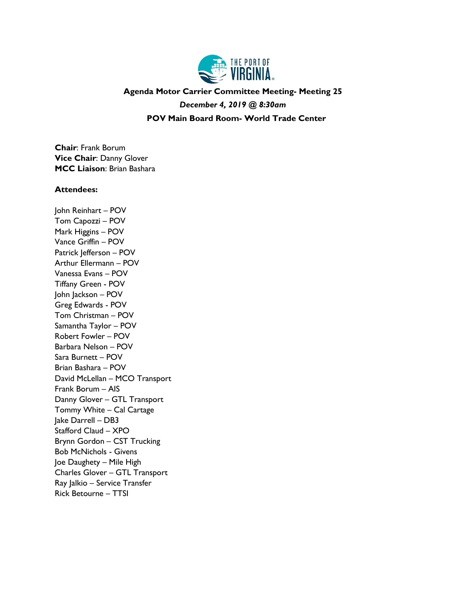

## **Agenda Motor Carrier Committee Meeting- Meeting 25** *December 4, 2019 @ 8:30am*

**POV Main Board Room- World Trade Center**

**Chair**: Frank Borum **Vice Chair**: Danny Glover **MCC Liaison**: Brian Bashara

## **Attendees:**

John Reinhart – POV Tom Capozzi – POV Mark Higgins – POV Vance Griffin – POV Patrick Jefferson - POV Arthur Ellermann – POV Vanessa Evans – POV Tiffany Green - POV John Jackson – POV Greg Edwards - POV Tom Christman – POV Samantha Taylor – POV Robert Fowler – POV Barbara Nelson – POV Sara Burnett – POV Brian Bashara – POV David McLellan – MCO Transport Frank Borum – AIS Danny Glover – GTL Transport Tommy White – Cal Cartage Jake Darrell – DB3 Stafford Claud – XPO Brynn Gordon – CST Trucking Bob McNichols - Givens Joe Daughety – Mile High Charles Glover – GTL Transport Ray Jalkio – Service Transfer Rick Betourne – TTSI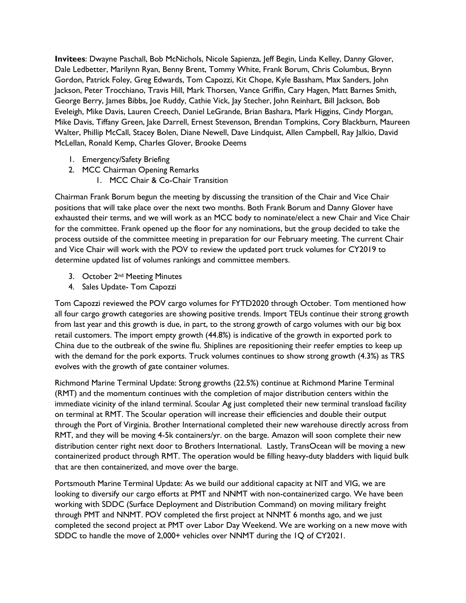**Invitees**: Dwayne Paschall, Bob McNichols, Nicole Sapienza, Jeff Begin, Linda Kelley, Danny Glover, Dale Ledbetter, Marilynn Ryan, Benny Brent, Tommy White, Frank Borum, Chris Columbus, Brynn Gordon, Patrick Foley, Greg Edwards, Tom Capozzi, Kit Chope, Kyle Bassham, Max Sanders, John Jackson, Peter Trocchiano, Travis Hill, Mark Thorsen, Vance Griffin, Cary Hagen, Matt Barnes Smith, George Berry, James Bibbs, Joe Ruddy, Cathie Vick, Jay Stecher, John Reinhart, Bill Jackson, Bob Eveleigh, Mike Davis, Lauren Creech, Daniel LeGrande, Brian Bashara, Mark Higgins, Cindy Morgan, Mike Davis, Tiffany Green, Jake Darrell, Ernest Stevenson, Brendan Tompkins, Cory Blackburn, Maureen Walter, Phillip McCall, Stacey Bolen, Diane Newell, Dave Lindquist, Allen Campbell, Ray Jalkio, David McLellan, Ronald Kemp, Charles Glover, Brooke Deems

- 1. Emergency/Safety Briefing
- 2. MCC Chairman Opening Remarks
	- 1. MCC Chair & Co-Chair Transition

Chairman Frank Borum begun the meeting by discussing the transition of the Chair and Vice Chair positions that will take place over the next two months. Both Frank Borum and Danny Glover have exhausted their terms, and we will work as an MCC body to nominate/elect a new Chair and Vice Chair for the committee. Frank opened up the floor for any nominations, but the group decided to take the process outside of the committee meeting in preparation for our February meeting. The current Chair and Vice Chair will work with the POV to review the updated port truck volumes for CY2019 to determine updated list of volumes rankings and committee members.

- 3. October 2<sup>nd</sup> Meeting Minutes
- 4. Sales Update- Tom Capozzi

Tom Capozzi reviewed the POV cargo volumes for FYTD2020 through October. Tom mentioned how all four cargo growth categories are showing positive trends. Import TEUs continue their strong growth from last year and this growth is due, in part, to the strong growth of cargo volumes with our big box retail customers. The import empty growth (44.8%) is indicative of the growth in exported pork to China due to the outbreak of the swine flu. Shiplines are repositioning their reefer empties to keep up with the demand for the pork exports. Truck volumes continues to show strong growth (4.3%) as TRS evolves with the growth of gate container volumes.

Richmond Marine Terminal Update: Strong growths (22.5%) continue at Richmond Marine Terminal (RMT) and the momentum continues with the completion of major distribution centers within the immediate vicinity of the inland terminal. Scoular Ag just completed their new terminal transload facility on terminal at RMT. The Scoular operation will increase their efficiencies and double their output through the Port of Virginia. Brother International completed their new warehouse directly across from RMT, and they will be moving 4-5k containers/yr. on the barge. Amazon will soon complete their new distribution center right next door to Brothers International. Lastly, TransOcean will be moving a new containerized product through RMT. The operation would be filling heavy-duty bladders with liquid bulk that are then containerized, and move over the barge.

Portsmouth Marine Terminal Update: As we build our additional capacity at NIT and VIG, we are looking to diversify our cargo efforts at PMT and NNMT with non-containerized cargo. We have been working with SDDC (Surface Deployment and Distribution Command) on moving military freight through PMT and NNMT. POV completed the first project at NNMT 6 months ago, and we just completed the second project at PMT over Labor Day Weekend. We are working on a new move with SDDC to handle the move of 2,000+ vehicles over NNMT during the 1Q of CY2021.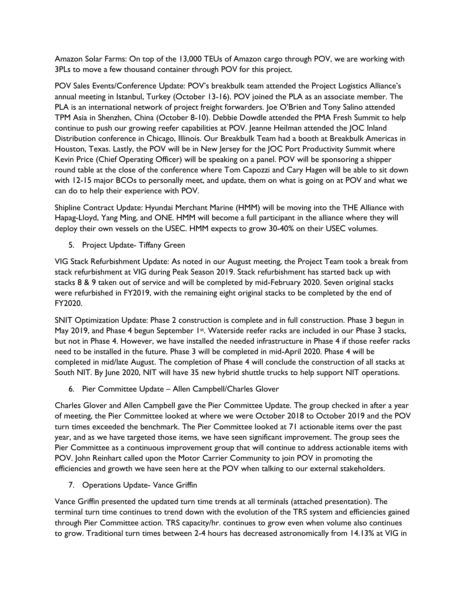Amazon Solar Farms: On top of the 13,000 TEUs of Amazon cargo through POV, we are working with 3PLs to move a few thousand container through POV for this project.

POV Sales Events/Conference Update: POV's breakbulk team attended the Project Logistics Alliance's annual meeting in Istanbul, Turkey (October 13-16). POV joined the PLA as an associate member. The PLA is an international network of project freight forwarders. Joe O'Brien and Tony Salino attended TPM Asia in Shenzhen, China (October 8-10). Debbie Dowdle attended the PMA Fresh Summit to help continue to push our growing reefer capabilities at POV. Jeanne Heilman attended the JOC Inland Distribution conference in Chicago, Illinois. Our Breakbulk Team had a booth at Breakbulk Americas in Houston, Texas. Lastly, the POV will be in New Jersey for the JOC Port Productivity Summit where Kevin Price (Chief Operating Officer) will be speaking on a panel. POV will be sponsoring a shipper round table at the close of the conference where Tom Capozzi and Cary Hagen will be able to sit down with 12-15 major BCOs to personally meet, and update, them on what is going on at POV and what we can do to help their experience with POV.

Shipline Contract Update: Hyundai Merchant Marine (HMM) will be moving into the THE Alliance with Hapag-Lloyd, Yang Ming, and ONE. HMM will become a full participant in the alliance where they will deploy their own vessels on the USEC. HMM expects to grow 30-40% on their USEC volumes.

5. Project Update- Tiffany Green

VIG Stack Refurbishment Update: As noted in our August meeting, the Project Team took a break from stack refurbishment at VIG during Peak Season 2019. Stack refurbishment has started back up with stacks 8 & 9 taken out of service and will be completed by mid-February 2020. Seven original stacks were refurbished in FY2019, with the remaining eight original stacks to be completed by the end of FY2020.

SNIT Optimization Update: Phase 2 construction is complete and in full construction. Phase 3 begun in May 2019, and Phase 4 begun September 1st. Waterside reefer racks are included in our Phase 3 stacks, but not in Phase 4. However, we have installed the needed infrastructure in Phase 4 if those reefer racks need to be installed in the future. Phase 3 will be completed in mid-April 2020. Phase 4 will be completed in mid/late August. The completion of Phase 4 will conclude the construction of all stacks at South NIT. By June 2020, NIT will have 35 new hybrid shuttle trucks to help support NIT operations.

6. Pier Committee Update – Allen Campbell/Charles Glover

Charles Glover and Allen Campbell gave the Pier Committee Update. The group checked in after a year of meeting, the Pier Committee looked at where we were October 2018 to October 2019 and the POV turn times exceeded the benchmark. The Pier Committee looked at 71 actionable items over the past year, and as we have targeted those items, we have seen significant improvement. The group sees the Pier Committee as a continuous improvement group that will continue to address actionable items with POV. John Reinhart called upon the Motor Carrier Community to join POV in promoting the efficiencies and growth we have seen here at the POV when talking to our external stakeholders.

7. Operations Update- Vance Griffin

Vance Griffin presented the updated turn time trends at all terminals (attached presentation). The terminal turn time continues to trend down with the evolution of the TRS system and efficiencies gained through Pier Committee action. TRS capacity/hr. continues to grow even when volume also continues to grow. Traditional turn times between 2-4 hours has decreased astronomically from 14.13% at VIG in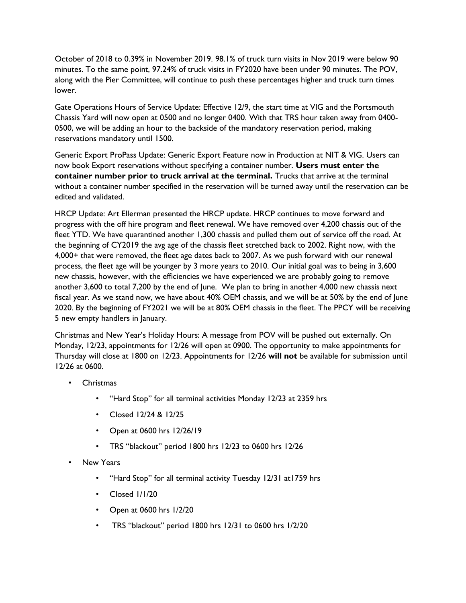October of 2018 to 0.39% in November 2019. 98.1% of truck turn visits in Nov 2019 were below 90 minutes. To the same point, 97.24% of truck visits in FY2020 have been under 90 minutes. The POV, along with the Pier Committee, will continue to push these percentages higher and truck turn times lower.

Gate Operations Hours of Service Update: Effective 12/9, the start time at VIG and the Portsmouth Chassis Yard will now open at 0500 and no longer 0400. With that TRS hour taken away from 0400- 0500, we will be adding an hour to the backside of the mandatory reservation period, making reservations mandatory until 1500.

Generic Export ProPass Update: Generic Export Feature now in Production at NIT & VIG. Users can now book Export reservations without specifying a container number. **Users must enter the container number prior to truck arrival at the terminal.** Trucks that arrive at the terminal without a container number specified in the reservation will be turned away until the reservation can be edited and validated.

HRCP Update: Art Ellerman presented the HRCP update. HRCP continues to move forward and progress with the off hire program and fleet renewal. We have removed over 4,200 chassis out of the fleet YTD. We have quarantined another 1,300 chassis and pulled them out of service off the road. At the beginning of CY2019 the avg age of the chassis fleet stretched back to 2002. Right now, with the 4,000+ that were removed, the fleet age dates back to 2007. As we push forward with our renewal process, the fleet age will be younger by 3 more years to 2010. Our initial goal was to being in 3,600 new chassis, however, with the efficiencies we have experienced we are probably going to remove another 3,600 to total 7,200 by the end of June. We plan to bring in another 4,000 new chassis next fiscal year. As we stand now, we have about 40% OEM chassis, and we will be at 50% by the end of June 2020. By the beginning of FY2021 we will be at 80% OEM chassis in the fleet. The PPCY will be receiving 5 new empty handlers in January.

Christmas and New Year's Holiday Hours: A message from POV will be pushed out externally. On Monday, 12/23, appointments for 12/26 will open at 0900. The opportunity to make appointments for Thursday will close at 1800 on 12/23. Appointments for 12/26 **will not** be available for submission until 12/26 at 0600.

- Christmas
	- "Hard Stop" for all terminal activities Monday 12/23 at 2359 hrs
	- Closed 12/24 & 12/25
	- Open at 0600 hrs 12/26/19
	- TRS "blackout" period 1800 hrs 12/23 to 0600 hrs 12/26
- **New Years** 
	- "Hard Stop" for all terminal activity Tuesday 12/31 at1759 hrs
	- Closed 1/1/20
	- Open at 0600 hrs 1/2/20
	- TRS "blackout" period 1800 hrs 12/31 to 0600 hrs 1/2/20